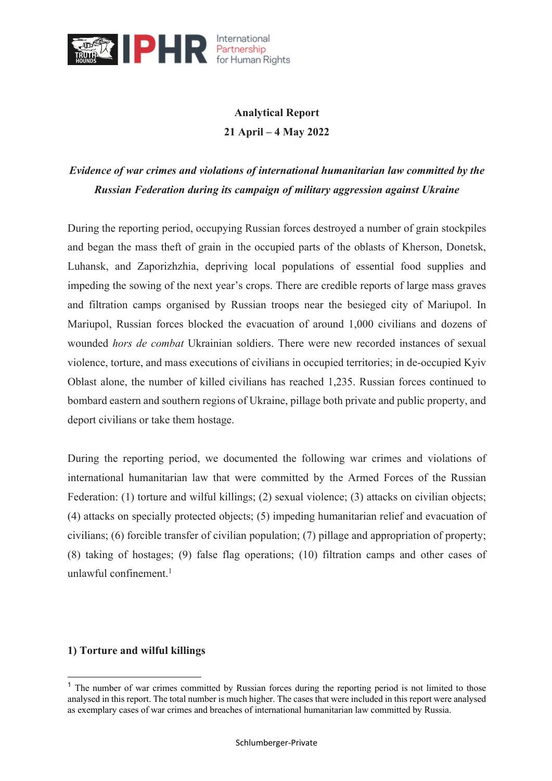

# **Analytical Report 21 April – 4 May 2022**

# *Evidence of war crimes and violations of international humanitarian law committed by the Russian Federation during its campaign of military aggression against Ukraine*

During the reporting period, occupying Russian forces destroyed a number of grain stockpiles and began the mass theft of grain in the occupied parts of the oblasts of Kherson, Donetsk, Luhansk, and Zaporizhzhia, depriving local populations of essential food supplies and impeding the sowing of the next year's crops. There are credible reports of large mass graves and filtration camps organised by Russian troops near the besieged city of Mariupol. In Mariupol, Russian forces blocked the evacuation of around 1,000 civilians and dozens of wounded *hors de combat* Ukrainian soldiers. There were new recorded instances of sexual violence, torture, and mass executions of civilians in occupied territories; in de-occupied Kyiv Oblast alone, the number of killed civilians has reached 1,235. Russian forces continued to bombard eastern and southern regions of Ukraine, pillage both private and public property, and deport civilians or take them hostage.

During the reporting period, we documented the following war crimes and violations of international humanitarian law that were committed by the Armed Forces of the Russian Federation: (1) torture and wilful killings; (2) sexual violence; (3) attacks on civilian objects; (4) attacks on specially protected objects; (5) impeding humanitarian relief and evacuation of civilians; (6) forcible transfer of civilian population; (7) pillage and appropriation of property; (8) taking of hostages; (9) false flag operations; (10) filtration camps and other cases of unlawful confinement. $1$ 

# **1) Torture and wilful killings**

<sup>&</sup>lt;sup>1</sup> The number of war crimes committed by Russian forces during the reporting period is not limited to those analysed in this report. The total number is much higher. The cases that were included in this report were analysed as exemplary cases of war crimes and breaches of international humanitarian law committed by Russia.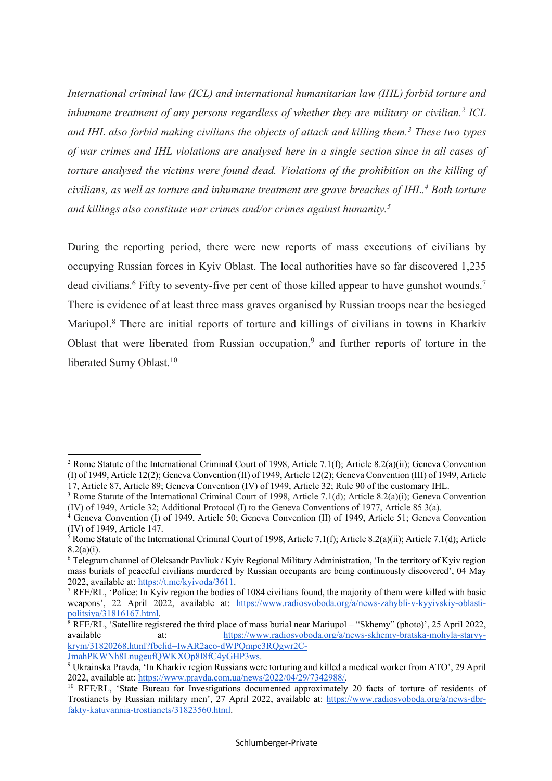*International criminal law (ICL) and international humanitarian law (IHL) forbid torture and inhumane treatment of any persons regardless of whether they are military or civilian.2 ICL and IHL also forbid making civilians the objects of attack and killing them.3 These two types of war crimes and IHL violations are analysed here in a single section since in all cases of torture analysed the victims were found dead. Violations of the prohibition on the killing of civilians, as well as torture and inhumane treatment are grave breaches of IHL.4 Both torture and killings also constitute war crimes and/or crimes against humanity.5*

During the reporting period, there were new reports of mass executions of civilians by occupying Russian forces in Kyiv Oblast. The local authorities have so far discovered 1,235 dead civilians.<sup>6</sup> Fifty to seventy-five per cent of those killed appear to have gunshot wounds.<sup>7</sup> There is evidence of at least three mass graves organised by Russian troops near the besieged Mariupol.<sup>8</sup> There are initial reports of torture and killings of civilians in towns in Kharkiv Oblast that were liberated from Russian occupation,<sup>9</sup> and further reports of torture in the liberated Sumy Oblast.<sup>10</sup>

<sup>2</sup> Rome Statute of the International Criminal Court of 1998, Article 7.1(f); Article 8.2(a)(ii); Geneva Convention (I) of 1949, Article 12(2); Geneva Convention (II) of 1949, Article 12(2); Geneva Convention (III) of 1949, Article

<sup>&</sup>lt;sup>3</sup> Rome Statute of the International Criminal Court of 1998, Article 7.1(d); Article 8.2(a)(i); Geneva Convention (IV) of 1949, Article 32; Additional Protocol (I) to the Geneva Conventions of 1977, Article 85 3(a).

<sup>4</sup> Geneva Convention (I) of 1949, Article 50; Geneva Convention (II) of 1949, Article 51; Geneva Convention (IV) of 1949, Article 147.

 $5$  Rome Statute of the International Criminal Court of 1998, Article 7.1(f); Article 8.2(a)(ii); Article 7.1(d); Article 8.2(a)(i).

<sup>6</sup> Telegram channel of Oleksandr Pavliuk / Kyiv Regional Military Administration, 'In the territory of Kyiv region mass burials of peaceful civilians murdered by Russian occupants are being continuously discovered', 04 May 2022, available at: https://t.me/kyivoda/3611.

<sup>7</sup> RFE/RL, 'Police: In Kyiv region the bodies of 1084 civilians found, the majority of them were killed with basic weapons', 22 April 2022, available at: https://www.radiosvoboda.org/a/news-zahybli-v-kyyivskiy-oblastipolitsiya/31816167.html.

 $8$  RFE/RL, 'Satellite registered the third place of mass burial near Mariupol – "Skhemy" (photo)', 25 April 2022, available at: https://www.radiosvoboda.org/a/news-skhemy-bratska-mohyla-staryykrym/31820268.html?fbclid=IwAR2aeo-dWPQmpc3RQgwr2C-

JmahPKWNh8LnugeufQWKXOp8I8fC4yGHP3ws.

<sup>9</sup> Ukrainska Pravda, 'In Kharkiv region Russians were torturing and killed a medical worker from ATO', 29 April 2022, available at: https://www.pravda.com.ua/news/2022/04/29/7342988/.

<sup>&</sup>lt;sup>10</sup> RFE/RL, 'State Bureau for Investigations documented approximately 20 facts of torture of residents of Trostianets by Russian military men', 27 April 2022, available at: https://www.radiosvoboda.org/a/news-dbrfakty-katuvannia-trostianets/31823560.html.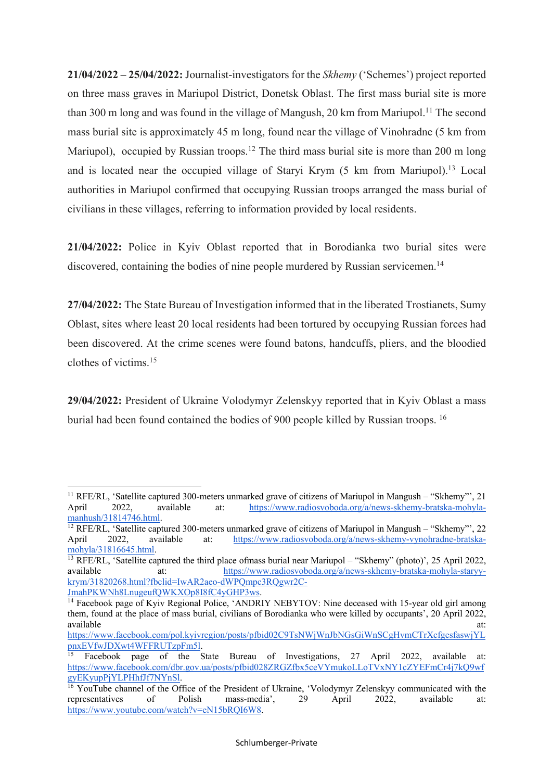**21/04/2022 – 25/04/2022:** Journalist-investigators for the *Skhemy* ('Schemes') project reported on three mass graves in Mariupol District, Donetsk Oblast. The first mass burial site is more than 300 m long and was found in the village of Mangush, 20 km from Mariupol.<sup>11</sup> The second mass burial site is approximately 45 m long, found near the village of Vinohradne (5 km from Mariupol), occupied by Russian troops.<sup>12</sup> The third mass burial site is more than 200 m long and is located near the occupied village of Staryi Krym (5 km from Mariupol).13 Local authorities in Mariupol confirmed that occupying Russian troops arranged the mass burial of civilians in these villages, referring to information provided by local residents.

**21/04/2022:** Police in Kyiv Oblast reported that in Borodianka two burial sites were discovered, containing the bodies of nine people murdered by Russian servicemen.<sup>14</sup>

**27/04/2022:** The State Bureau of Investigation informed that in the liberated Trostianets, Sumy Oblast, sites where least 20 local residents had been tortured by occupying Russian forces had been discovered. At the crime scenes were found batons, handcuffs, pliers, and the bloodied clothes of victims. 15

**29/04/2022:** President of Ukraine Volodymyr Zelenskyy reported that in Kyiv Oblast a mass burial had been found contained the bodies of 900 people killed by Russian troops. 16

 $\overline{a}$ 

<sup>&</sup>lt;sup>11</sup> RFE/RL, 'Satellite captured 300-meters unmarked grave of citizens of Mariupol in Mangush – "Skhemy"', 21 April 2022, available at: https://www.radiosvoboda.org/a/news-skhemy-bratska-mohylamanhush/31814746.html.

<sup>&</sup>lt;sup>12</sup> RFE/RL, 'Satellite captured 300-meters unmarked grave of citizens of Mariupol in Mangush – "Skhemy"', 22 April 2022, available at: https://www.radiosvoboda.org/a/news-skhemy-vynohradne-bratskamohyla/31816645.html.

<sup>13</sup> RFE/RL, 'Satellite captured the third place ofmass burial near Mariupol – "Skhemy" (photo)', 25 April 2022, available at: https://www.radiosvoboda.org/a/news-skhemy-bratska-mohyla-staryykrym/31820268.html?fbclid=IwAR2aeo-dWPQmpc3RQgwr2C-JmahPKWNh8LnugeufQWKXOp8I8fC4yGHP3ws.

<sup>&</sup>lt;sup>14</sup> Facebook page of Kyiv Regional Police, 'ANDRIY NEBYTOV: Nine deceased with 15-year old girl among them, found at the place of mass burial, civilians of Borodianka who were killed by occupants', 20 April 2022, available at: and a state at a state at a state at a state at a state at a state at a state at a state at a state at a state at a state at a state at a state at a state at a state at a state at a state at a state at a stat

https://www.facebook.com/pol.kyivregion/posts/pfbid02C9TsNWjWnJbNGsGiWnSCgHvmCTrXcfgesfaswjYL pnxEVfwJDXwt4WFFRUTzpFm5l.

Facebook page of the State Bureau of Investigations, 27 April 2022, available at: https://www.facebook.com/dbr.gov.ua/posts/pfbid028ZRGZfbx5ceVYmukoLLoTVxNY1cZYEFmCr4j7kQ9wf gyEKyupPjYLPHhfJf7NYnSl.

<sup>&</sup>lt;sup>16</sup> YouTube channel of the Office of the President of Ukraine, 'Volodymyr Zelenskyy communicated with the representatives of Polish mass-media', 29 April 2022, available at: https://www.youtube.com/watch?v=eN15bRQI6W8.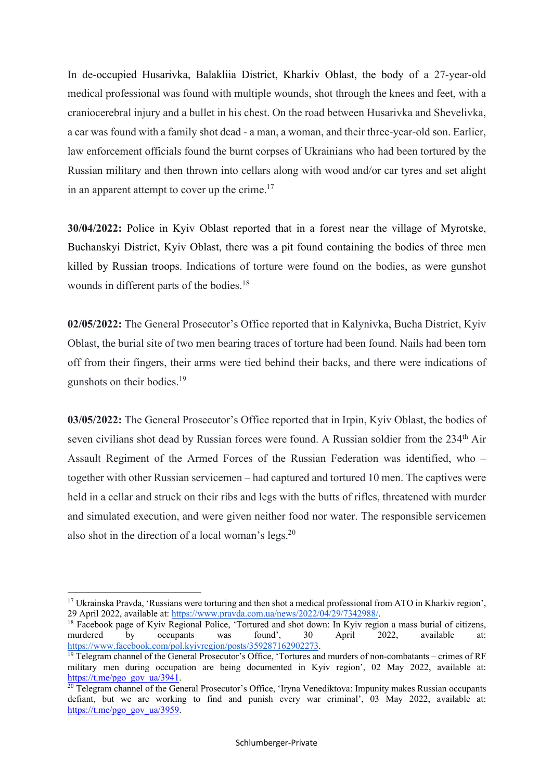In de-occupied Husarivka, Balakliia District, Kharkiv Oblast, the body of a 27-year-old medical professional was found with multiple wounds, shot through the knees and feet, with a craniocerebral injury and a bullet in his chest. On the road between Husarivka and Shevelivka, a car was found with a family shot dead - a man, a woman, and their three-year-old son. Earlier, law enforcement officials found the burnt corpses of Ukrainians who had been tortured by the Russian military and then thrown into cellars along with wood and/or car tyres and set alight in an apparent attempt to cover up the crime.<sup>17</sup>

**30/04/2022:** Police in Kyiv Oblast reported that in a forest near the village of Myrotske, Buchanskyi District, Kyiv Oblast, there was a pit found containing the bodies of three men killed by Russian troops. Indications of torture were found on the bodies, as were gunshot wounds in different parts of the bodies.18

**02/05/2022:** The General Prosecutor's Office reported that in Kalynivka, Bucha District, Kyiv Oblast, the burial site of two men bearing traces of torture had been found. Nails had been torn off from their fingers, their arms were tied behind their backs, and there were indications of gunshots on their bodies.19

**03/05/2022:** The General Prosecutor's Office reported that in Irpin, Kyiv Oblast, the bodies of seven civilians shot dead by Russian forces were found. A Russian soldier from the 234<sup>th</sup> Air Assault Regiment of the Armed Forces of the Russian Federation was identified, who – together with other Russian servicemen – had captured and tortured 10 men. The captives were held in a cellar and struck on their ribs and legs with the butts of rifles, threatened with murder and simulated execution, and were given neither food nor water. The responsible servicemen also shot in the direction of a local woman's legs.20

<sup>&</sup>lt;sup>17</sup> Ukrainska Pravda, 'Russians were torturing and then shot a medical professional from ATO in Kharkiv region', 29 April 2022, available at: https://www.pravda.com.ua/news/2022/04/29/7342988/.

<sup>&</sup>lt;sup>18</sup> Facebook page of Kyiv Regional Police, 'Tortured and shot down: In Kyiv region a mass burial of citizens, murdered by occupants was found', 30 April 2022, available at: https://www.facebook.com/pol.kyivregion/posts/359287162902273.

<sup>&</sup>lt;sup>19</sup> Telegram channel of the General Prosecutor's Office, 'Tortures and murders of non-combatants – crimes of RF military men during occupation are being documented in Kyiv region', 02 May 2022, available at: https://t.me/pgo\_gov\_ua/3941.

<sup>&</sup>lt;sup>20</sup> Telegram channel of the General Prosecutor's Office, 'Iryna Venediktova: Impunity makes Russian occupants defiant, but we are working to find and punish every war criminal', 03 May 2022, available at: https://t.me/pgo\_gov\_ua/3959.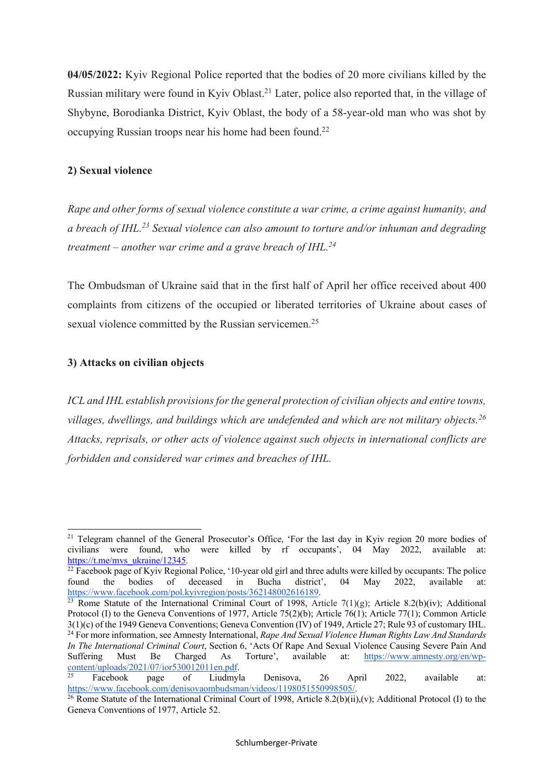**04/05/2022:** Kyiv Regional Police reported that the bodies of 20 more civilians killed by the Russian military were found in Kyiv Oblast.<sup>21</sup> Later, police also reported that, in the village of Shybyne, Borodianka District, Kyiv Oblast, the body of a 58-year-old man who was shot by occupying Russian troops near his home had been found.<sup>22</sup>

#### **2) Sexual violence**

*Rape and other forms of sexual violence constitute a war crime, a crime against humanity, and a breach of IHL.23 Sexual violence can also amount to torture and/or inhuman and degrading treatment – another war crime and a grave breach of IHL.24*

The Ombudsman of Ukraine said that in the first half of April her office received about 400 complaints from citizens of the occupied or liberated territories of Ukraine about cases of sexual violence committed by the Russian servicemen.<sup>25</sup>

#### **3) Attacks on civilian objects**

*ICL and IHL establish provisions for the general protection of civilian objects and entire towns, villages, dwellings, and buildings which are undefended and which are not military objects. 26 Attacks, reprisals, or other acts of violence against such objects in international conflicts are forbidden and considered war crimes and breaches of IHL.* 

<sup>23</sup> Rome Statute of the International Criminal Court of 1998, Article 7(1)(g); Article 8.2(b)(iv); Additional Protocol (I) to the Geneva Conventions of 1977, Article 75(2)(b); Article 76(1); Article 77(1); Common Article 3(1)(c) of the 1949 Geneva Conventions; Geneva Convention (IV) of 1949, Article 27; Rule 93 of customary IHL. <sup>24</sup> For more information, see Amnesty International, *Rape And Sexual Violence Human Rights Law And Standards In The International Criminal Court*, Section 6, 'Acts Of Rape And Sexual Violence Causing Severe Pain And

<sup>&</sup>lt;sup>21</sup> Telegram channel of the General Prosecutor's Office, 'For the last day in Kyiv region 20 more bodies of civilians were found, who were killed by rf occupants', 04 May 2022, available at: https://t.me/mvs\_ukraine/12345.

<sup>&</sup>lt;sup>22</sup> Facebook page of Kyiv Regional Police, '10-year old girl and three adults were killed by occupants: The police found the bodies of deceased in Bucha district', 04 May 2022, available at: https://www.facebook.com/pol.kyivregion/posts/362148002616189.

Suffering Must Be Charged As Torture', available at: https://www.amnesty.org/en/wpcontent/uploads/2021/07/ior530012011en.pdf. <sup>25</sup> Facebook page of Liudmyla Denisova, 26 April 2022, available at:

https://www.facebook.com/denisovaombudsman/videos/1198051550998505/.

<sup>&</sup>lt;sup>26</sup> Rome Statute of the International Criminal Court of 1998, Article 8.2(b)(ii),(v); Additional Protocol (I) to the Geneva Conventions of 1977, Article 52.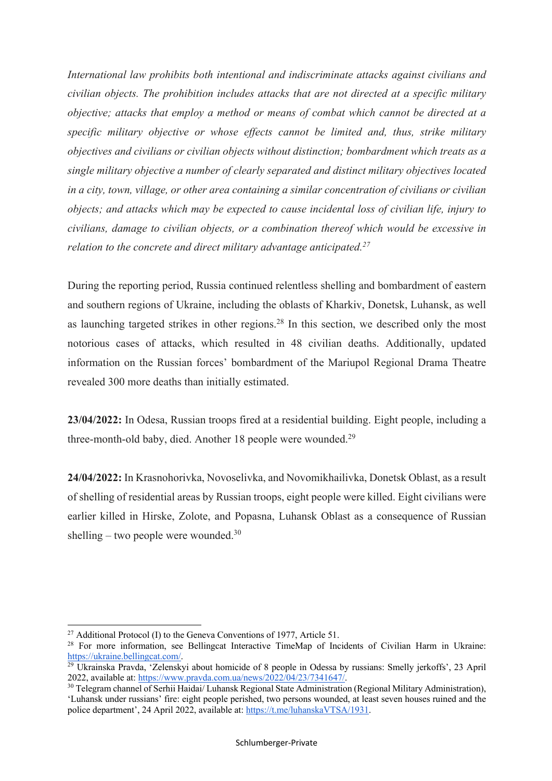*International law prohibits both intentional and indiscriminate attacks against civilians and civilian objects. The prohibition includes attacks that are not directed at a specific military objective; attacks that employ a method or means of combat which cannot be directed at a specific military objective or whose effects cannot be limited and, thus, strike military objectives and civilians or civilian objects without distinction; bombardment which treats as a single military objective a number of clearly separated and distinct military objectives located in a city, town, village, or other area containing a similar concentration of civilians or civilian objects; and attacks which may be expected to cause incidental loss of civilian life, injury to civilians, damage to civilian objects, or a combination thereof which would be excessive in relation to the concrete and direct military advantage anticipated.27*

During the reporting period, Russia continued relentless shelling and bombardment of eastern and southern regions of Ukraine, including the oblasts of Kharkiv, Donetsk, Luhansk, as well as launching targeted strikes in other regions.28 In this section, we described only the most notorious cases of attacks, which resulted in 48 civilian deaths. Additionally, updated information on the Russian forces' bombardment of the Mariupol Regional Drama Theatre revealed 300 more deaths than initially estimated.

**23/04/2022:** In Odesa, Russian troops fired at a residential building. Eight people, including a three-month-old baby, died. Another 18 people were wounded.29

**24/04/2022:** In Krasnohorivka, Novoselivka, and Novomikhailivka, Donetsk Oblast, as a result of shelling of residential areas by Russian troops, eight people were killed. Eight civilians were earlier killed in Hirske, Zolote, and Popasna, Luhansk Oblast as a consequence of Russian shelling – two people were wounded. $30$ 

<sup>&</sup>lt;sup>27</sup> Additional Protocol (I) to the Geneva Conventions of 1977, Article 51.

<sup>&</sup>lt;sup>28</sup> For more information, see Bellingcat Interactive TimeMap of Incidents of Civilian Harm in Ukraine: https://ukraine.bellingcat.com/.

<sup>29</sup> Ukrainska Pravda, 'Zelenskyi about homicide of 8 people in Odessa by russians: Smelly jerkoffs', 23 April 2022, available at: https://www.pravda.com.ua/news/2022/04/23/7341647/.

<sup>&</sup>lt;sup>30</sup> Telegram channel of Serhii Haidai/ Luhansk Regional State Administration (Regional Military Administration), 'Luhansk under russians' fire: eight people perished, two persons wounded, at least seven houses ruined and the police department', 24 April 2022, available at: https://t.me/luhanskaVTSA/1931.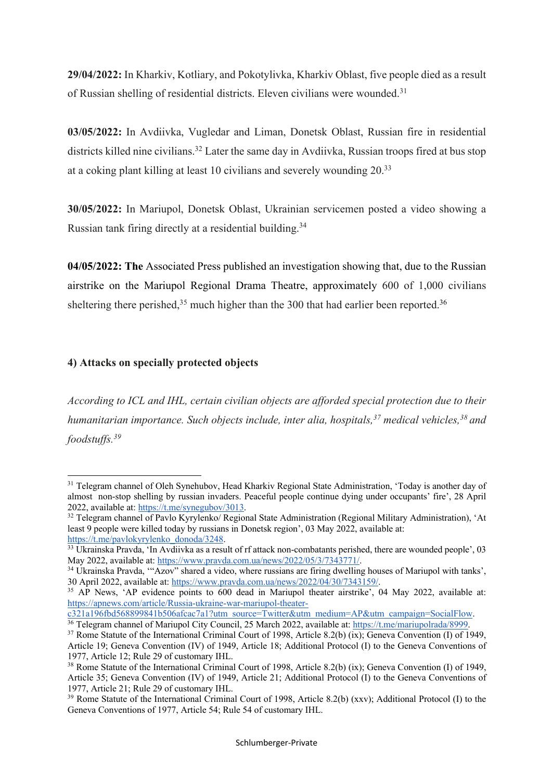**29/04/2022:** In Kharkiv, Kotliary, and Pokotylivka, Kharkiv Oblast, five people died as a result of Russian shelling of residential districts. Eleven civilians were wounded.<sup>31</sup>

**03/05/2022:** In Avdiivka, Vugledar and Liman, Donetsk Oblast, Russian fire in residential districts killed nine civilians.<sup>32</sup> Later the same day in Avdiivka, Russian troops fired at bus stop at a coking plant killing at least 10 civilians and severely wounding 20.<sup>33</sup>

**30/05/2022:** In Mariupol, Donetsk Oblast, Ukrainian servicemen posted a video showing a Russian tank firing directly at a residential building.<sup>34</sup>

**04/05/2022: The** Associated Press published an investigation showing that, due to the Russian airstrike on the Mariupol Regional Drama Theatre, approximately 600 of 1,000 civilians sheltering there perished,<sup>35</sup> much higher than the 300 that had earlier been reported.<sup>36</sup>

# **4) Attacks on specially protected objects**

 $\overline{a}$ 

*According to ICL and IHL, certain civilian objects are afforded special protection due to their humanitarian importance. Such objects include, inter alia, hospitals,37 medical vehicles,38 and foodstuffs.39*

<sup>&</sup>lt;sup>31</sup> Telegram channel of Oleh Synehubov, Head Kharkiv Regional State Administration, 'Today is another day of almost non-stop shelling by russian invaders. Peaceful people continue dying under occupants' fire', 28 April 2022, available at: https://t.me/synegubov/3013.

<sup>&</sup>lt;sup>32</sup> Telegram channel of Pavlo Kyrylenko/ Regional State Administration (Regional Military Administration), 'At least 9 people were killed today by russians in Donetsk region', 03 May 2022, available at: https://t.me/pavlokyrylenko\_donoda/3248.

<sup>&</sup>lt;sup>33</sup> Ukrainska Pravda, 'In Avdiivka as a result of rf attack non-combatants perished, there are wounded people', 03 May 2022, available at: https://www.pravda.com.ua/news/2022/05/3/7343771/.

<sup>&</sup>lt;sup>34</sup> Ukrainska Pravda, "'Azov" shared a video, where russians are firing dwelling houses of Mariupol with tanks', 30 April 2022, available at: https://www.pravda.com.ua/news/2022/04/30/7343159/.

<sup>&</sup>lt;sup>35</sup> AP News, 'AP evidence points to 600 dead in Mariupol theater airstrike', 04 May 2022, available at: https://apnews.com/article/Russia-ukraine-war-mariupol-theater-

c321a196fbd568899841b506afcac7a1?utm\_source=Twitter&utm\_medium=AP&utm\_campaign=SocialFlow.

<sup>&</sup>lt;sup>36</sup> Telegram channel of Mariupol City Council, 25 March 2022, available at: https://t.me/mariupolrada/8999.

<sup>37</sup> Rome Statute of the International Criminal Court of 1998, Article 8.2(b) (ix); Geneva Convention (I) of 1949, Article 19; Geneva Convention (IV) of 1949, Article 18; Additional Protocol (I) to the Geneva Conventions of 1977, Article 12; Rule 29 of customary IHL.<br><sup>38</sup> Rome Statute of the International Criminal Court of 1998, Article 8.2(b) (ix); Geneva Convention (I) of 1949,

Article 35; Geneva Convention (IV) of 1949, Article 21; Additional Protocol (I) to the Geneva Conventions of 1977, Article 21; Rule 29 of customary IHL.

<sup>&</sup>lt;sup>39</sup> Rome Statute of the International Criminal Court of 1998, Article 8.2(b) (xxv); Additional Protocol (I) to the Geneva Conventions of 1977, Article 54; Rule 54 of customary IHL.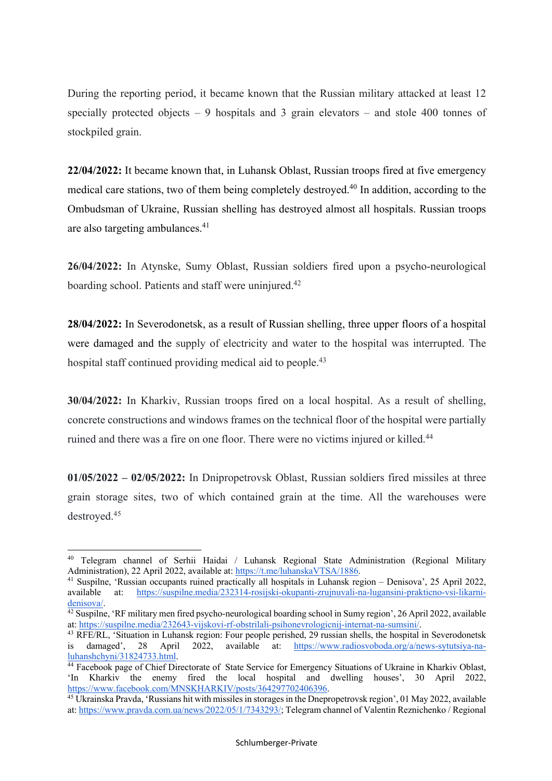During the reporting period, it became known that the Russian military attacked at least 12 specially protected objects – 9 hospitals and 3 grain elevators – and stole 400 tonnes of stockpiled grain.

**22/04/2022:** It became known that, in Luhansk Oblast, Russian troops fired at five emergency medical care stations, two of them being completely destroyed.<sup>40</sup> In addition, according to the Ombudsman of Ukraine, Russian shelling has destroyed almost all hospitals. Russian troops are also targeting ambulances.41

**26/04/2022:** In Atynske, Sumy Oblast, Russian soldiers fired upon a psycho-neurological boarding school. Patients and staff were uninjured.<sup>42</sup>

**28/04/2022:** In Severodonetsk, as a result of Russian shelling, three upper floors of a hospital were damaged and the supply of electricity and water to the hospital was interrupted. The hospital staff continued providing medical aid to people.<sup>43</sup>

**30/04/2022:** In Kharkiv, Russian troops fired on a local hospital. As a result of shelling, concrete constructions and windows frames on the technical floor of the hospital were partially ruined and there was a fire on one floor. There were no victims injured or killed.<sup>44</sup>

**01/05/2022 – 02/05/2022:** In Dnipropetrovsk Oblast, Russian soldiers fired missiles at three grain storage sites, two of which contained grain at the time. All the warehouses were destroyed.45

<sup>40</sup> Telegram channel of Serhii Haidai / Luhansk Regional State Administration (Regional Military Administration), 22 April 2022, available at: https://t.me/luhanskaVTSA/1886.

<sup>41</sup> Suspilne, 'Russian occupants ruined practically all hospitals in Luhansk region – Denisova', 25 April 2022, available at: https://suspilne.media/232314-rosijski-okupanti-zrujnuvali-na-lugansini-prakticno-vsi-likarnidenisova/.

 $\frac{42 \text{ Suspline}}{42 \text{ Suspline}}$ , 'RF military men fired psycho-neurological boarding school in Sumy region', 26 April 2022, available at: https://suspilne.media/232643-vijskovi-rf-obstrilali-psihonevrologicnij-internat-na-sumsini/.

<sup>43</sup> RFE/RL, 'Situation in Luhansk region: Four people perished, 29 russian shells, the hospital in Severodonetsk is damaged', 28 April 2022, available at: https://www.radiosvoboda.org/a/news-sytutsiya-naluhanshchyni/31824733.html.

<sup>44</sup> Facebook page of Chief Directorate of State Service for Emergency Situations of Ukraine in Kharkiv Oblast, 'In Kharkiv the enemy fired the local hospital and dwelling houses', 30 April 2022, https://www.facebook.com/MNSKHARKIV/posts/364297702406396.

<sup>45</sup> Ukrainska Pravda, 'Russians hit with missiles in storages in the Dnepropetrovsk region', 01 May 2022, available at: https://www.pravda.com.ua/news/2022/05/1/7343293/; Telegram channel of Valentin Reznichenko / Regional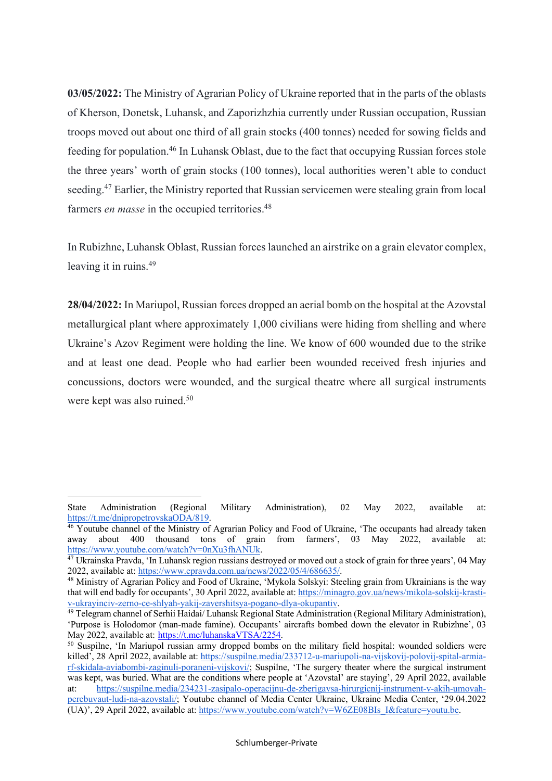**03/05/2022:** The Ministry of Agrarian Policy of Ukraine reported that in the parts of the oblasts of Kherson, Donetsk, Luhansk, and Zaporizhzhia currently under Russian occupation, Russian troops moved out about one third of all grain stocks (400 tonnes) needed for sowing fields and feeding for population.46 In Luhansk Oblast, due to the fact that occupying Russian forces stole the three years' worth of grain stocks (100 tonnes), local authorities weren't able to conduct seeding.<sup>47</sup> Earlier, the Ministry reported that Russian servicemen were stealing grain from local farmers *en masse* in the occupied territories.<sup>48</sup>

In Rubizhne, Luhansk Oblast, Russian forces launched an airstrike on a grain elevator complex, leaving it in ruins. 49

**28/04/2022:** In Mariupol, Russian forces dropped an aerial bomb on the hospital at the Azovstal metallurgical plant where approximately 1,000 civilians were hiding from shelling and where Ukraine's Azov Regiment were holding the line. We know of 600 wounded due to the strike and at least one dead. People who had earlier been wounded received fresh injuries and concussions, doctors were wounded, and the surgical theatre where all surgical instruments were kept was also ruined.<sup>50</sup>

State Administration (Regional Military Administration), 02 May 2022, available at: https://t.me/dnipropetrovskaODA/819.

<sup>46</sup> Youtube channel of the Ministry of Agrarian Policy and Food of Ukraine, 'The occupants had already taken away about 400 thousand tons of grain from farmers', 03 May 2022, available at: https://www.youtube.com/watch?v=0nXu3fhANUk.

<sup>&</sup>lt;sup>47</sup> Ukrainska Pravda, 'In Luhansk region russians destroved or moved out a stock of grain for three years', 04 May 2022, available at: https://www.epravda.com.ua/news/2022/05/4/686635/.

<sup>48</sup> Ministry of Agrarian Policy and Food of Ukraine, 'Mykola Solskyi: Steeling grain from Ukrainians is the way that will end badly for occupants', 30 April 2022, available at: https://minagro.gov.ua/news/mikola-solskij-krastiv-ukrayinciv-zerno-ce-shlyah-yakij-zavershitsya-pogano-dlya-okupantiv.

<sup>&</sup>lt;sup>49</sup> Telegram channel of Serhii Haidai/ Luhansk Regional State Administration (Regional Military Administration), 'Purpose is Holodomor (man-made famine). Occupants' aircrafts bombed down the elevator in Rubizhne', 03 May 2022, available at: https://t.me/luhanskaVTSA/2254.

<sup>&</sup>lt;sup>50</sup> Suspilne, 'In Mariupol russian army dropped bombs on the military field hospital: wounded soldiers were killed', 28 April 2022, available at: https://suspilne.media/233712-u-mariupoli-na-vijskovij-polovij-spital-armiarf-skidala-aviabombi-zaginuli-poraneni-vijskovi/; Suspilne, 'The surgery theater where the surgical instrument was kept, was buried. What are the conditions where people at 'Azovstal' are staying', 29 April 2022, available at: https://suspilne.media/234231-zasipalo-operacijnu-de-zberigavsa-hirurgicnij-instrument-v-akih-umovahperebuvaut-ludi-na-azovstali/; Youtube channel of Media Center Ukraine, Ukraine Media Center, '29.04.2022 (UA)', 29 April 2022, available at: https://www.youtube.com/watch?v=W6ZE08BIs\_I&feature=youtu.be.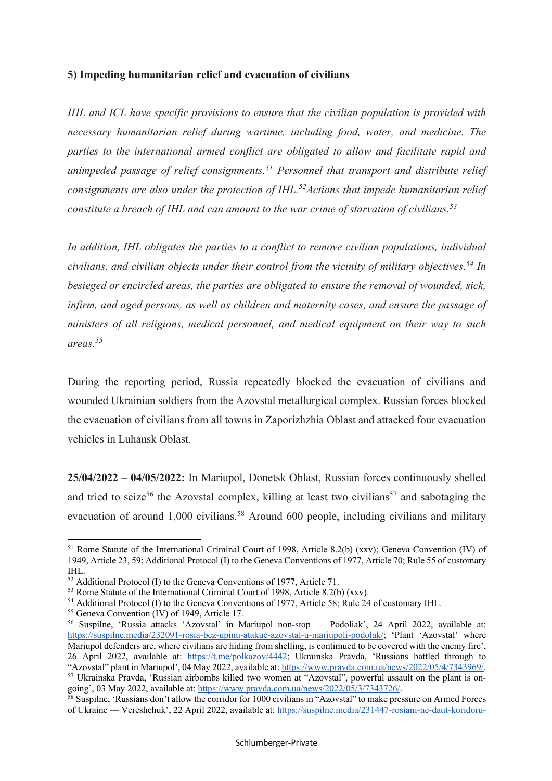#### **5) Impeding humanitarian relief and evacuation of civilians**

*IHL and ICL have specific provisions to ensure that the civilian population is provided with necessary humanitarian relief during wartime, including food, water, and medicine. The parties to the international armed conflict are obligated to allow and facilitate rapid and unimpeded passage of relief consignments.51 Personnel that transport and distribute relief consignments are also under the protection of IHL.52Actions that impede humanitarian relief constitute a breach of IHL and can amount to the war crime of starvation of civilians.53*

*In addition, IHL obligates the parties to a conflict to remove civilian populations, individual civilians, and civilian objects under their control from the vicinity of military objectives.54 In besieged or encircled areas, the parties are obligated to ensure the removal of wounded, sick, infirm, and aged persons, as well as children and maternity cases, and ensure the passage of ministers of all religions, medical personnel, and medical equipment on their way to such areas.55*

During the reporting period, Russia repeatedly blocked the evacuation of civilians and wounded Ukrainian soldiers from the Azovstal metallurgical complex. Russian forces blocked the evacuation of civilians from all towns in Zaporizhzhia Oblast and attacked four evacuation vehicles in Luhansk Oblast.

**25/04/2022 – 04/05/2022:** In Mariupol, Donetsk Oblast, Russian forces continuously shelled and tried to seize<sup>56</sup> the Azovstal complex, killing at least two civilians<sup>57</sup> and sabotaging the evacuation of around 1,000 civilians.<sup>58</sup> Around 600 people, including civilians and military

 $\overline{a}$ 

<sup>&</sup>lt;sup>51</sup> Rome Statute of the International Criminal Court of 1998, Article 8.2(b) (xxv); Geneva Convention (IV) of 1949, Article 23, 59; Additional Protocol (I) to the Geneva Conventions of 1977, Article 70; Rule 55 of customary IHL. 52 Additional Protocol (I) to the Geneva Conventions of 1977, Article 71.

<sup>53</sup> Rome Statute of the International Criminal Court of 1998, Article 8.2(b) (xxv).

<sup>54</sup> Additional Protocol (I) to the Geneva Conventions of 1977, Article 58; Rule 24 of customary IHL. 55 Geneva Convention (IV) of 1949, Article 17.

<sup>56</sup> Suspilne, 'Russia attacks 'Azovstal' in Mariupol non-stop — Podoliak', 24 April 2022, available at: https://suspilne.media/232091-rosia-bez-upinu-atakue-azovstal-u-mariupoli-podolak/; 'Plant 'Azovstal' where Mariupol defenders are, where civilians are hiding from shelling, is contimued to be covered with the enemy fire', 26 April 2022, available at: https://t.me/polkazov/4442; Ukrainska Pravda, 'Russians battled through to "Azovstal" plant in Mariupol', 04 May 2022, available at: https://www.pravda.com.ua/news/2022/05/4/7343969/. <sup>57</sup> Ukrainska Pravda, 'Russian airbombs killed two women at "Azovstal", powerful assault on the plant is ongoing', 03 May 2022, available at: https://www.pravda.com.ua/news/2022/05/3/7343726/.

 $58$  Suspilne, 'Russians don't allow the corridor for 1000 civilians in "Azovstal" to make pressure on Armed Forces of Ukraine — Vereshchuk', 22 April 2022, available at: https://suspilne.media/231447-rosiani-ne-daut-koridoru-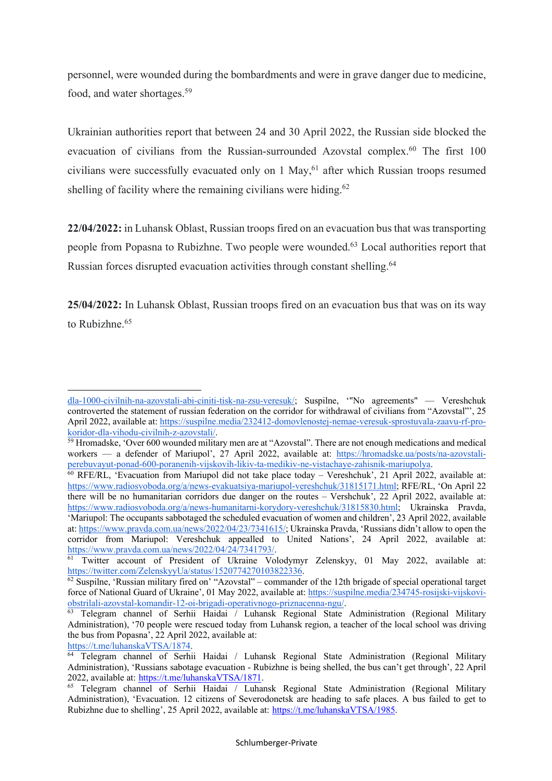personnel, were wounded during the bombardments and were in grave danger due to medicine, food, and water shortages.59

Ukrainian authorities report that between 24 and 30 April 2022, the Russian side blocked the evacuation of civilians from the Russian-surrounded Azovstal complex.<sup>60</sup> The first 100 civilians were successfully evacuated only on 1 May, <sup>61</sup> after which Russian troops resumed shelling of facility where the remaining civilians were hiding. $62$ 

**22/04/2022:** in Luhansk Oblast, Russian troops fired on an evacuation bus that was transporting people from Popasna to Rubizhne. Two people were wounded.63 Local authorities report that Russian forces disrupted evacuation activities through constant shelling.<sup>64</sup>

**25/04/2022:** In Luhansk Oblast, Russian troops fired on an evacuation bus that was on its way to Rubizhne.<sup>65</sup>

 $\overline{a}$ 

dla-1000-civilnih-na-azovstali-abi-ciniti-tisk-na-zsu-veresuk/; Suspilne, '"No agreements" — Vereshchuk controverted the statement of russian federation on the corridor for withdrawal of civilians from "Azovstal"', 25 April 2022, available at: https://suspilne.media/232412-domovlenostej-nemae-veresuk-sprostuvala-zaavu-rf-prokoridor-dla-vihodu-civilnih-z-azovstali/.

<sup>&</sup>lt;sup>59</sup> Hromadske, 'Over 600 wounded military men are at "Azovstal". There are not enough medications and medical workers — a defender of Mariupol', 27 April 2022, available at: https://hromadske.ua/posts/na-azovstaliperebuvayut-ponad-600-poranenih-vijskovih-likiv-ta-medikiv-ne-vistachaye-zahisnik-mariupolya.

 $60$  RFE/RL, 'Evacuation from Mariupol did not take place today – Vereshchuk', 21 April 2022, available at: https://www.radiosvoboda.org/a/news-evakuatsiya-mariupol-vereshchuk/31815171.html; RFE/RL, 'On April 22 there will be no humanitarian corridors due danger on the routes – Vershchuk', 22 April 2022, available at: https://www.radiosvoboda.org/a/news-humanitarni-korydory-vereshchuk/31815830.html; Ukrainska Pravda, 'Mariupol: The occupants sabbotaged the scheduled evacuation of women and children', 23 April 2022, available at: https://www.pravda.com.ua/news/2022/04/23/7341615/; Ukrainska Pravda, 'Russians didn't allow to open the corridor from Mariupol: Vereshchuk appealled to United Nations', 24 April 2022, available at: https://www.pravda.com.ua/news/2022/04/24/7341793/.

<sup>&</sup>lt;sup>61</sup> Twitter account of President of Ukraine Volodymyr Zelenskyy, 01 May 2022, available at: https://twitter.com/ZelenskyyUa/status/1520774270103822336.

 $\frac{62}{2}$  Suspilne, 'Russian military fired on' "Azovstal" – commander of the 12th brigade of special operational target force of National Guard of Ukraine', 01 May 2022, available at: https://suspilne.media/234745-rosijski-vijskoviobstrilali-azovstal-komandir-12-oi-brigadi-operativnogo-priznacenna-ngu/.

<sup>&</sup>lt;sup>63</sup> Telegram channel of Serhii Haidai / Luhansk Regional State Administration (Regional Military Administration), '70 people were rescued today from Luhansk region, a teacher of the local school was driving the bus from Popasna', 22 April 2022, available at:

https://t.me/luhanskaVTSA/1874.

<sup>64</sup> Telegram channel of Serhii Haidai / Luhansk Regional State Administration (Regional Military Administration), 'Russians sabotage evacuation - Rubizhne is being shelled, the bus can't get through', 22 April 2022, available at: https://t.me/luhanskaVTSA/1871.

<sup>65</sup> Telegram channel of Serhii Haidai / Luhansk Regional State Administration (Regional Military Administration), 'Evacuation. 12 citizens of Severodonetsk are heading to safe places. A bus failed to get to Rubizhne due to shelling', 25 April 2022, available at: https://t.me/luhanskaVTSA/1985.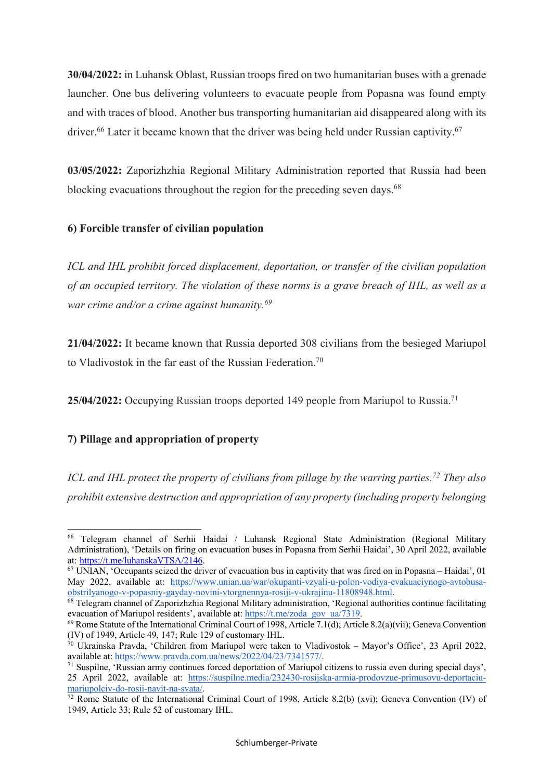**30/04/2022:** in Luhansk Oblast, Russian troops fired on two humanitarian buses with a grenade launcher. One bus delivering volunteers to evacuate people from Popasna was found empty and with traces of blood. Another bus transporting humanitarian aid disappeared along with its driver.<sup>66</sup> Later it became known that the driver was being held under Russian captivity.<sup>67</sup>

**03/05/2022:** Zaporizhzhia Regional Military Administration reported that Russia had been blocking evacuations throughout the region for the preceding seven days.<sup>68</sup>

# **6) Forcible transfer of civilian population**

*ICL and IHL prohibit forced displacement, deportation, or transfer of the civilian population of an occupied territory. The violation of these norms is a grave breach of IHL, as well as a war crime and/or a crime against humanity.69*

**21/04/2022:** It became known that Russia deported 308 civilians from the besieged Mariupol to Vladivostok in the far east of the Russian Federation.<sup>70</sup>

**25/04/2022:** Occupying Russian troops deported 149 people from Mariupol to Russia. 71

# **7) Pillage and appropriation of property**

*ICL and IHL protect the property of civilians from pillage by the warring parties.72 They also prohibit extensive destruction and appropriation of any property (including property belonging* 

<sup>66</sup> Telegram channel of Serhii Haidai / Luhansk Regional State Administration (Regional Military Administration), 'Details on firing on evacuation buses in Popasna from Serhii Haidai', 30 April 2022, available at: https://t.me/luhanskaVTSA/2146.

 $67$  UNIAN, 'Occupants seized the driver of evacuation bus in captivity that was fired on in Popasna – Haidai', 01 May 2022, available at: https://www.unian.ua/war/okupanti-vzyali-u-polon-vodiya-evakuaciynogo-avtobusaobstrilyanogo-v-popasniy-gayday-novini-vtorgnennya-rosiji-v-ukrajinu-11808948.html.

<sup>68</sup> Telegram channel of Zaporizhzhia Regional Military administration, 'Regional authorities continue facilitating evacuation of Mariupol residents', available at: https://t.me/zoda\_gov\_ua/7319.

<sup>&</sup>lt;sup>69</sup> Rome Statute of the International Criminal Court of 1998, Article 7.1(d); Article 8.2(a)(vii); Geneva Convention (IV) of 1949. Article 49, 147; Rule 129 of customary IHL.

 $\overline{10}$  Ukrainska Pravda, 'Children from Mariupol were taken to Vladivostok – Mayor's Office', 23 April 2022, available at: https://www.pravda.com.ua/news/2022/04/23/7341577/.

 $71$  Suspilne, 'Russian army continues forced deportation of Mariupol citizens to russia even during special days', 25 April 2022, available at: https://suspilne.media/232430-rosijska-armia-prodovzue-primusovu-deportaciumariupolciv-do-rosii-navit-na-svata/.

<sup>72</sup> Rome Statute of the International Criminal Court of 1998, Article 8.2(b) (xvi); Geneva Convention (IV) of 1949, Article 33; Rule 52 of customary IHL.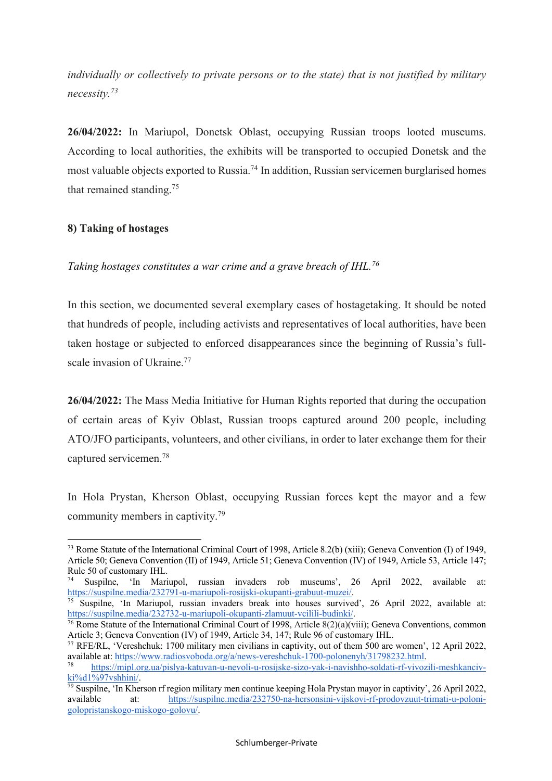*individually or collectively to private persons or to the state) that is not justified by military necessity.73*

**26/04/2022:** In Mariupol, Donetsk Oblast, occupying Russian troops looted museums. According to local authorities, the exhibits will be transported to occupied Donetsk and the most valuable objects exported to Russia.74 In addition, Russian servicemen burglarised homes that remained standing. 75

# **8) Taking of hostages**

 $\overline{a}$ 

*Taking hostages constitutes a war crime and a grave breach of IHL.76*

In this section, we documented several exemplary cases of hostagetaking. It should be noted that hundreds of people, including activists and representatives of local authorities, have been taken hostage or subjected to enforced disappearances since the beginning of Russia's fullscale invasion of Ukraine.<sup>77</sup>

**26/04/2022:** The Mass Media Initiative for Human Rights reported that during the occupation of certain areas of Kyiv Oblast, Russian troops captured around 200 people, including ATO/JFO participants, volunteers, and other civilians, in order to later exchange them for their captured servicemen.78

In Hola Prystan, Kherson Oblast, occupying Russian forces kept the mayor and a few community members in captivity.79

<sup>73</sup> Rome Statute of the International Criminal Court of 1998, Article 8.2(b) (xiii); Geneva Convention (I) of 1949, Article 50; Geneva Convention (II) of 1949, Article 51; Geneva Convention (IV) of 1949, Article 53, Article 147; Rule 50 of customary IHL.

<sup>74</sup> Suspilne, 'In Mariupol, russian invaders rob museums', 26 April 2022, available at: https://suspilne.media/232791-u-mariupoli-rosijski-okupanti-grabuut-muzei/.

<sup>75</sup> Suspilne, 'In Mariupol, russian invaders break into houses survived', 26 April 2022, available at: https://suspilne.media/232732-u-mariupoli-okupanti-zlamuut-vcilili-budinki/.

<sup>&</sup>lt;sup>76</sup> Rome Statute of the International Criminal Court of 1998, Article  $8(2)(a)(viii)$ ; Geneva Conventions, common Article 3; Geneva Convention (IV) of 1949, Article 34, 147; Rule 96 of customary IHL.<br><sup>77</sup> RFE/RL, 'Vereshchuk: 1700 military men civilians in captivity, out of them 500 are women', 12 April 2022,

available at: https://www.radiosvoboda.org/a/news-vereshchuk-1700-polonenyh/31798232.html.

<sup>78</sup> https://mipl.org.ua/pislya-katuvan-u-nevoli-u-rosijske-sizo-yak-i-navishho-soldati-rf-vivozili-meshkancivki%d1%97vshhini/.

<sup>79</sup> Suspilne, 'In Kherson rf region military men continue keeping Hola Prystan mayor in captivity', 26 April 2022, available at: https://suspilne.media/232750-na-hersonsini-vijskovi-rf-prodovzuut-trimati-u-polonigolopristanskogo-miskogo-golovu/.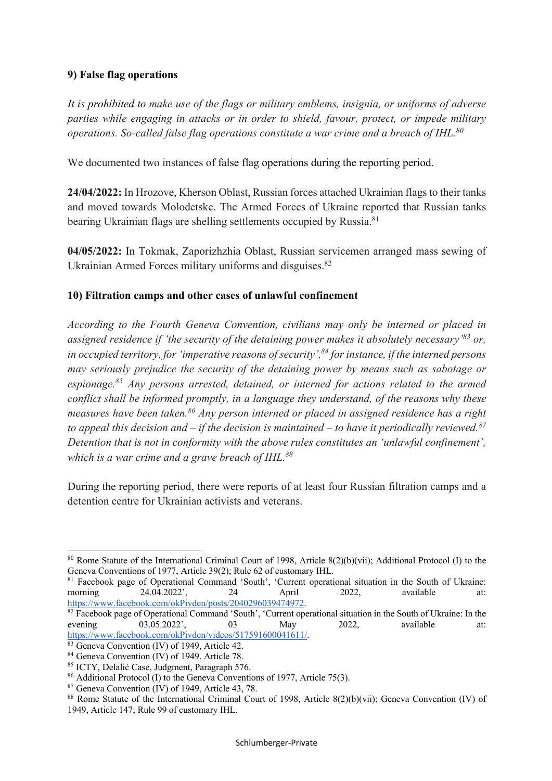# **9) False flag operations**

*It is prohibited to make use of the flags or military emblems, insignia, or uniforms of adverse parties while engaging in attacks or in order to shield, favour, protect, or impede military operations. So-called false flag operations constitute a war crime and a breach of IHL.80*

We documented two instances of false flag operations during the reporting period.

**24/04/2022:** In Hrozove, Kherson Oblast, Russian forces attached Ukrainian flags to their tanks and moved towards Molodetske. The Armed Forces of Ukraine reported that Russian tanks bearing Ukrainian flags are shelling settlements occupied by Russia.<sup>81</sup>

**04/05/2022:** In Tokmak, Zaporizhzhia Oblast, Russian servicemen arranged mass sewing of Ukrainian Armed Forces military uniforms and disguises.<sup>82</sup>

# **10) Filtration camps and other cases of unlawful confinement**

*According to the Fourth Geneva Convention, civilians may only be interned or placed in assigned residence if 'the security of the detaining power makes it absolutely necessary' <sup>83</sup> or, in occupied territory, for 'imperative reasons of security', <sup>84</sup> for instance, if the interned persons may seriously prejudice the security of the detaining power by means such as sabotage or espionage.85 Any persons arrested, detained, or interned for actions related to the armed conflict shall be informed promptly, in a language they understand, of the reasons why these measures have been taken.86 Any person interned or placed in assigned residence has a right to appeal this decision and – if the decision is maintained – to have it periodically reviewed.87 Detention that is not in conformity with the above rules constitutes an 'unlawful confinement', which is a war crime and a grave breach of IHL.88*

During the reporting period, there were reports of at least four Russian filtration camps and a detention centre for Ukrainian activists and veterans.

<sup>&</sup>lt;sup>80</sup> Rome Statute of the International Criminal Court of 1998, Article  $8(2)(b)(vii)$ ; Additional Protocol (I) to the Geneva Conventions of 1977, Article 39(2); Rule 62 of customary IHL.

<sup>81</sup> Facebook page of Operational Command 'South', 'Current operational situation in the South of Ukraine: morning 24.04.2022', 24 April 2022, available at: https://www.facebook.com/okPivden/posts/2040296039474972.

 $82$  Facebook page of Operational Command 'South', 'Current operational situation in the South of Ukraine: In the evening 03.05.2022', 03 May 2022, available at: https://www.facebook.com/okPivden/videos/517591600041611/.

<sup>&</sup>lt;sup>83</sup> Geneva Convention (IV) of 1949, Article 42.<br><sup>84</sup> Geneva Convention (IV) of 1949, Article 78.<br><sup>85</sup> ICTY, Delalić Case, Judgment, Paragraph 576.

<sup>&</sup>lt;sup>86</sup> Additional Protocol (I) to the Geneva Conventions of 1977, Article 75(3).

<sup>&</sup>lt;sup>87</sup> Geneva Convention (IV) of 1949, Article 43, 78.<br><sup>88</sup> Rome Statute of the International Criminal Court of 1998, Article 8(2)(b)(vii); Geneva Convention (IV) of 1949, Article 147; Rule 99 of customary IHL.